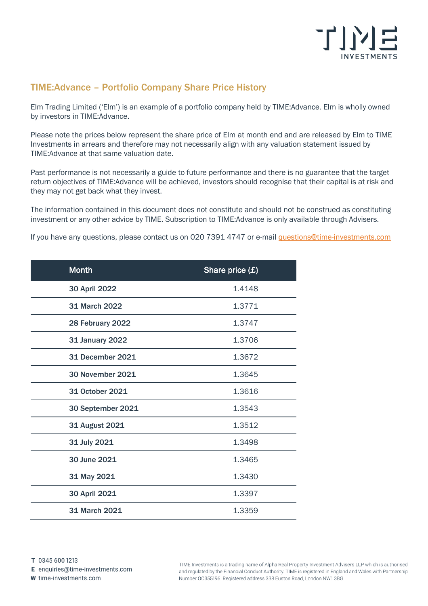

## TIME:Advance – Portfolio Company Share Price History

Elm Trading Limited ('Elm') is an example of a portfolio company held by TIME:Advance. Elm is wholly owned by investors in TIME:Advance.

Please note the prices below represent the share price of Elm at month end and are released by Elm to TIME Investments in arrears and therefore may not necessarily align with any valuation statement issued by TIME:Advance at that same valuation date.

Past performance is not necessarily a guide to future performance and there is no guarantee that the target return objectives of TIME:Advance will be achieved, investors should recognise that their capital is at risk and they may not get back what they invest.

The information contained in this document does not constitute and should not be construed as constituting investment or any other advice by TIME. Subscription to TIME:Advance is only available through Advisers.

If you have any questions, please contact us on 020 7391 4747 or e-mail [questions@time-investments.com](mailto:questions@time-investments.com)

| <b>Month</b>            | Share price (£) |
|-------------------------|-----------------|
| 30 April 2022           | 1.4148          |
| <b>31 March 2022</b>    | 1.3771          |
| 28 February 2022        | 1.3747          |
| <b>31 January 2022</b>  | 1.3706          |
| <b>31 December 2021</b> | 1.3672          |
| <b>30 November 2021</b> | 1.3645          |
| 31 October 2021         | 1.3616          |
| 30 September 2021       | 1.3543          |
| 31 August 2021          | 1.3512          |
| 31 July 2021            | 1.3498          |
| 30 June 2021            | 1.3465          |
| 31 May 2021             | 1.3430          |
| 30 April 2021           | 1.3397          |
| 31 March 2021           | 1.3359          |

E enquiries@time-investments.com

W time-investments.com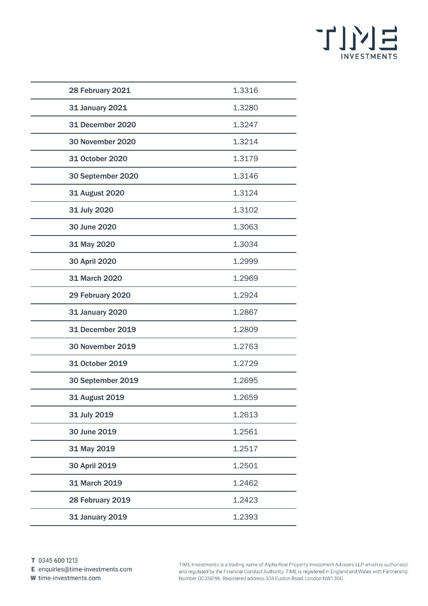

| 28 February 2021        | 1.3316 |
|-------------------------|--------|
| 31 January 2021         | 1.3280 |
| <b>31 December 2020</b> | 1.3247 |
| 30 November 2020        | 1.3214 |
| 31 October 2020         | 1.3179 |
| 30 September 2020       | 1.3146 |
| <b>31 August 2020</b>   | 1.3124 |
| 31 July 2020            | 1.3102 |
| 30 June 2020            | 1.3063 |
| 31 May 2020             | 1.3034 |
| 30 April 2020           | 1.2999 |
| 31 March 2020           | 1.2969 |
| 29 February 2020        | 1.2924 |
| <b>31 January 2020</b>  | 1.2867 |
| <b>31 December 2019</b> | 1.2809 |
| <b>30 November 2019</b> | 1.2763 |
| 31 October 2019         | 1.2729 |
| 30 September 2019       | 1.2695 |
| <b>31 August 2019</b>   | 1.2659 |
| 31 July 2019            | 1.2613 |
| 30 June 2019            | 1.2561 |
| 31 May 2019             | 1.2517 |
| 30 April 2019           | 1.2501 |
| 31 March 2019           | 1.2462 |
| 28 February 2019        | 1.2423 |
| <b>31 January 2019</b>  | 1.2393 |

E enquiries@time-investments.com

W time-investments.com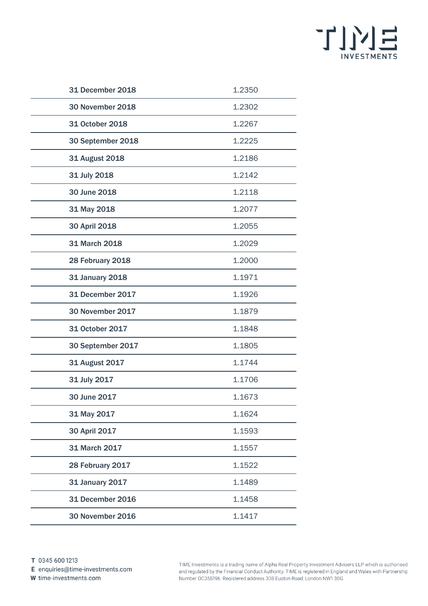

| 31 December 2018        | 1.2350 |
|-------------------------|--------|
| <b>30 November 2018</b> | 1.2302 |
| 31 October 2018         | 1.2267 |
| 30 September 2018       | 1.2225 |
| 31 August 2018          | 1.2186 |
| 31 July 2018            | 1.2142 |
| 30 June 2018            | 1.2118 |
| 31 May 2018             | 1.2077 |
| 30 April 2018           | 1.2055 |
| 31 March 2018           | 1.2029 |
| 28 February 2018        | 1.2000 |
| 31 January 2018         | 1.1971 |
| <b>31 December 2017</b> | 1.1926 |
| <b>30 November 2017</b> | 1.1879 |
| 31 October 2017         | 1.1848 |
| 30 September 2017       | 1.1805 |
| 31 August 2017          | 1.1744 |
| 31 July 2017            | 1.1706 |
| 30 June 2017            | 1.1673 |
| 31 May 2017             | 1.1624 |
| 30 April 2017           | 1.1593 |
| 31 March 2017           | 1.1557 |
| 28 February 2017        | 1.1522 |
| 31 January 2017         | 1.1489 |
| <b>31 December 2016</b> | 1.1458 |
| <b>30 November 2016</b> | 1.1417 |

E enquiries@time-investments.com

W time-investments.com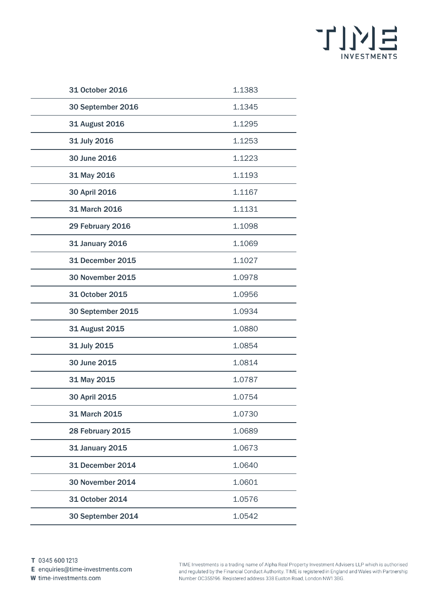

| 31 October 2016         | 1.1383 |
|-------------------------|--------|
| 30 September 2016       | 1.1345 |
| 31 August 2016          | 1.1295 |
| 31 July 2016            | 1.1253 |
| 30 June 2016            | 1.1223 |
| 31 May 2016             | 1.1193 |
| 30 April 2016           | 1.1167 |
| 31 March 2016           | 1.1131 |
| 29 February 2016        | 1.1098 |
| <b>31 January 2016</b>  | 1.1069 |
| 31 December 2015        | 1.1027 |
| <b>30 November 2015</b> | 1.0978 |
| 31 October 2015         | 1.0956 |
| 30 September 2015       | 1.0934 |
| 31 August 2015          | 1.0880 |
| 31 July 2015            | 1.0854 |
| 30 June 2015            | 1.0814 |
| 31 May 2015             | 1.0787 |
| 30 April 2015           | 1.0754 |
| 31 March 2015           | 1.0730 |
| 28 February 2015        | 1.0689 |
| 31 January 2015         | 1.0673 |
| <b>31 December 2014</b> | 1.0640 |
| <b>30 November 2014</b> | 1.0601 |
| 31 October 2014         | 1.0576 |
| 30 September 2014       | 1.0542 |

E enquiries@time-investments.com

W time-investments.com